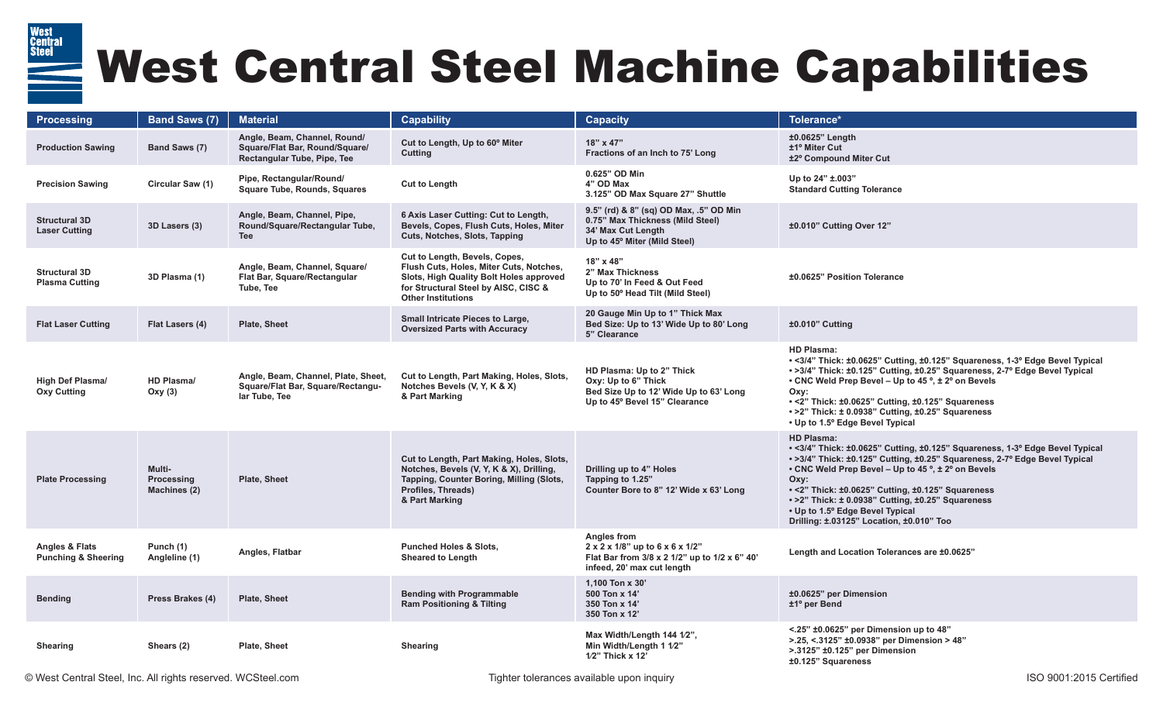## West Central Steel Machine Capabilities

| <b>Processing</b>                                | <b>Band Saws (7)</b>                 | <b>Material</b>                                                                               | <b>Capability</b>                                                                                                                                                                        | <b>Capacity</b>                                                                                                                            | Tolerance*                                                                                                                                                                                                                                                                                                                                                                                                                             |
|--------------------------------------------------|--------------------------------------|-----------------------------------------------------------------------------------------------|------------------------------------------------------------------------------------------------------------------------------------------------------------------------------------------|--------------------------------------------------------------------------------------------------------------------------------------------|----------------------------------------------------------------------------------------------------------------------------------------------------------------------------------------------------------------------------------------------------------------------------------------------------------------------------------------------------------------------------------------------------------------------------------------|
| <b>Production Sawing</b>                         | Band Saws (7)                        | Angle, Beam, Channel, Round/<br>Square/Flat Bar, Round/Square/<br>Rectangular Tube, Pipe, Tee | Cut to Length, Up to 60° Miter<br><b>Cutting</b>                                                                                                                                         | 18" x 47"<br>Fractions of an Inch to 75' Long                                                                                              | ±0.0625" Length<br>±1º Miter Cut<br>±2º Compound Miter Cut                                                                                                                                                                                                                                                                                                                                                                             |
| <b>Precision Sawing</b>                          | Circular Saw (1)                     | Pipe, Rectangular/Round/<br><b>Square Tube, Rounds, Squares</b>                               | <b>Cut to Length</b>                                                                                                                                                                     | 0.625" OD Min<br>4" OD Max<br>3.125" OD Max Square 27" Shuttle                                                                             | Up to 24" ±.003"<br><b>Standard Cutting Tolerance</b>                                                                                                                                                                                                                                                                                                                                                                                  |
| <b>Structural 3D</b><br><b>Laser Cutting</b>     | 3D Lasers (3)                        | Angle, Beam, Channel, Pipe,<br>Round/Square/Rectangular Tube,<br>Tee                          | 6 Axis Laser Cutting: Cut to Length,<br>Bevels, Copes, Flush Cuts, Holes, Miter<br>Cuts, Notches, Slots, Tapping                                                                         | 9.5" (rd) & 8" (sq) OD Max, .5" OD Min<br>0.75" Max Thickness (Mild Steel)<br>34' Max Cut Length<br>Up to 45° Miter (Mild Steel)           | ±0.010" Cutting Over 12"                                                                                                                                                                                                                                                                                                                                                                                                               |
| <b>Structural 3D</b><br><b>Plasma Cutting</b>    | 3D Plasma (1)                        | Angle, Beam, Channel, Square/<br>Flat Bar, Square/Rectangular<br>Tube, Tee                    | Cut to Length, Bevels, Copes,<br>Flush Cuts, Holes, Miter Cuts, Notches,<br>Slots, High Quality Bolt Holes approved<br>for Structural Steel by AISC, CISC &<br><b>Other Institutions</b> | 18" x 48"<br>2" Max Thickness<br>Up to 70' In Feed & Out Feed<br>Up to 50° Head Tilt (Mild Steel)                                          | ±0.0625" Position Tolerance                                                                                                                                                                                                                                                                                                                                                                                                            |
| <b>Flat Laser Cutting</b>                        | Flat Lasers (4)                      | <b>Plate, Sheet</b>                                                                           | Small Intricate Pieces to Large,<br><b>Oversized Parts with Accuracy</b>                                                                                                                 | 20 Gauge Min Up to 1" Thick Max<br>Bed Size: Up to 13' Wide Up to 80' Long<br>5" Clearance                                                 | ±0.010" Cutting                                                                                                                                                                                                                                                                                                                                                                                                                        |
| High Def Plasma/<br><b>Oxy Cutting</b>           | HD Plasma/<br>Oxy (3)                | Angle, Beam, Channel, Plate, Sheet,<br>Square/Flat Bar, Square/Rectangu-<br>lar Tube, Tee     | Cut to Length, Part Making, Holes, Slots,<br>Notches Bevels (V, Y, K & X)<br>& Part Marking                                                                                              | HD Plasma: Up to 2" Thick<br>Oxy: Up to 6" Thick<br>Bed Size Up to 12' Wide Up to 63' Long<br>Up to 45° Bevel 15" Clearance                | <b>HD Plasma:</b><br>• <3/4" Thick: ±0.0625" Cutting, ±0.125" Squareness, 1-3° Edge Bevel Typical<br>• >3/4" Thick: ±0.125" Cutting, ±0.25" Squareness, 2-7° Edge Bevel Typical<br>• CNC Weld Prep Bevel – Up to 45 °, ± 2° on Bevels<br>Oxy:<br>• <2" Thick: ±0.0625" Cutting, ±0.125" Squareness<br>• >2" Thick: ± 0.0938" Cutting, ±0.25" Squareness<br>• Up to 1.5° Edge Bevel Typical                                             |
| <b>Plate Processing</b>                          | Multi-<br>Processing<br>Machines (2) | <b>Plate, Sheet</b>                                                                           | Cut to Length, Part Making, Holes, Slots,<br>Notches, Bevels (V, Y, K & X), Drilling,<br>Tapping, Counter Boring, Milling (Slots,<br>Profiles, Threads)<br>& Part Marking                | Drilling up to 4" Holes<br>Tapping to 1.25"<br>Counter Bore to 8" 12' Wide x 63' Long                                                      | <b>HD Plasma:</b><br>• <3/4" Thick: ±0.0625" Cutting, ±0.125" Squareness, 1-3° Edge Bevel Typical<br>• >3/4" Thick: ±0.125" Cutting, ±0.25" Squareness, 2-7° Edge Bevel Typical<br>• CNC Weld Prep Bevel – Up to 45 °, ± 2° on Bevels<br>Oxy:<br>• <2" Thick: ±0.0625" Cutting, ±0.125" Squareness<br>• >2" Thick: ± 0.0938" Cutting, ±0.25" Squareness<br>• Up to 1.5° Edge Bevel Typical<br>Drilling: ±.03125" Location, ±0.010" Too |
| Angles & Flats<br><b>Punching &amp; Sheering</b> | Punch (1)<br>Angleline (1)           | Angles, Flatbar                                                                               | <b>Punched Holes &amp; Slots.</b><br><b>Sheared to Length</b>                                                                                                                            | Angles from<br>$2 \times 2 \times 1/8$ " up to 6 x 6 x 1/2"<br>Flat Bar from 3/8 x 2 1/2" up to 1/2 x 6" 40"<br>infeed, 20' max cut length | Length and Location Tolerances are ±0.0625"                                                                                                                                                                                                                                                                                                                                                                                            |
| <b>Bending</b>                                   | Press Brakes (4)                     | <b>Plate, Sheet</b>                                                                           | <b>Bending with Programmable</b><br><b>Ram Positioning &amp; Tilting</b>                                                                                                                 | 1,100 Ton x 30'<br>500 Ton x 14'<br>350 Ton x 14'<br>350 Ton x 12'                                                                         | ±0.0625" per Dimension<br>±1º per Bend                                                                                                                                                                                                                                                                                                                                                                                                 |
| <b>Shearing</b>                                  | Shears (2)                           | <b>Plate, Sheet</b>                                                                           | <b>Shearing</b>                                                                                                                                                                          | Max Width/Length 144 1/2",<br>Min Width/Length 1 1/2"<br>$1/2$ " Thick x 12"                                                               | <.25" ±0.0625" per Dimension up to 48"<br>>.25, <.3125" ±0.0938" per Dimension > 48"<br>>.3125" ±0.125" per Dimension<br>±0.125" Squareness                                                                                                                                                                                                                                                                                            |